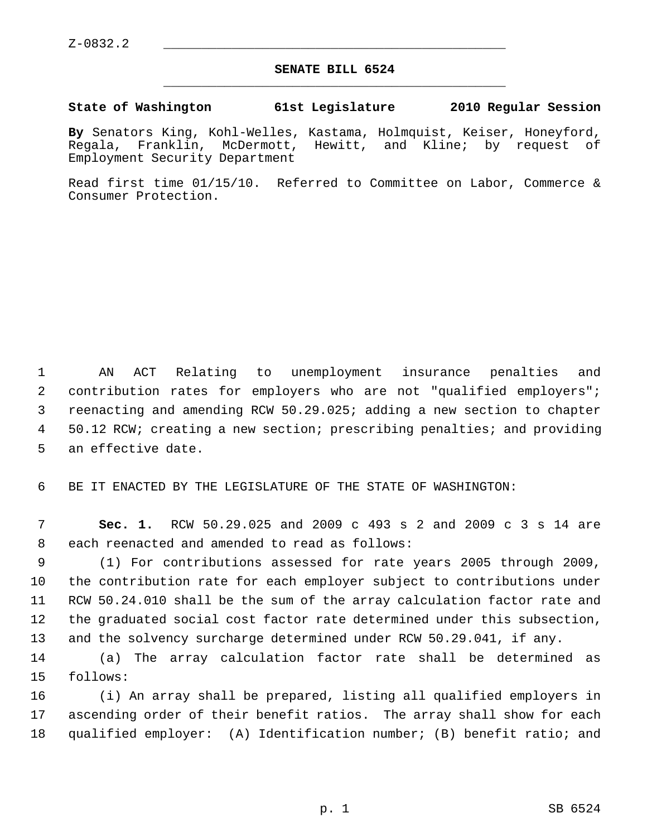## **SENATE BILL 6524** \_\_\_\_\_\_\_\_\_\_\_\_\_\_\_\_\_\_\_\_\_\_\_\_\_\_\_\_\_\_\_\_\_\_\_\_\_\_\_\_\_\_\_\_\_

## **State of Washington 61st Legislature 2010 Regular Session**

**By** Senators King, Kohl-Welles, Kastama, Holmquist, Keiser, Honeyford, Regala, Franklin, McDermott, Hewitt, and Kline; by request of Employment Security Department

Read first time 01/15/10. Referred to Committee on Labor, Commerce & Consumer Protection.

 1 AN ACT Relating to unemployment insurance penalties and 2 contribution rates for employers who are not "qualified employers"; 3 reenacting and amending RCW 50.29.025; adding a new section to chapter 4 50.12 RCW; creating a new section; prescribing penalties; and providing 5 an effective date.

6 BE IT ENACTED BY THE LEGISLATURE OF THE STATE OF WASHINGTON:

 7 **Sec. 1.** RCW 50.29.025 and 2009 c 493 s 2 and 2009 c 3 s 14 are 8 each reenacted and amended to read as follows:

 9 (1) For contributions assessed for rate years 2005 through 2009, 10 the contribution rate for each employer subject to contributions under 11 RCW 50.24.010 shall be the sum of the array calculation factor rate and 12 the graduated social cost factor rate determined under this subsection, 13 and the solvency surcharge determined under RCW 50.29.041, if any.

14 (a) The array calculation factor rate shall be determined as 15 follows:

16 (i) An array shall be prepared, listing all qualified employers in 17 ascending order of their benefit ratios. The array shall show for each 18 qualified employer: (A) Identification number; (B) benefit ratio; and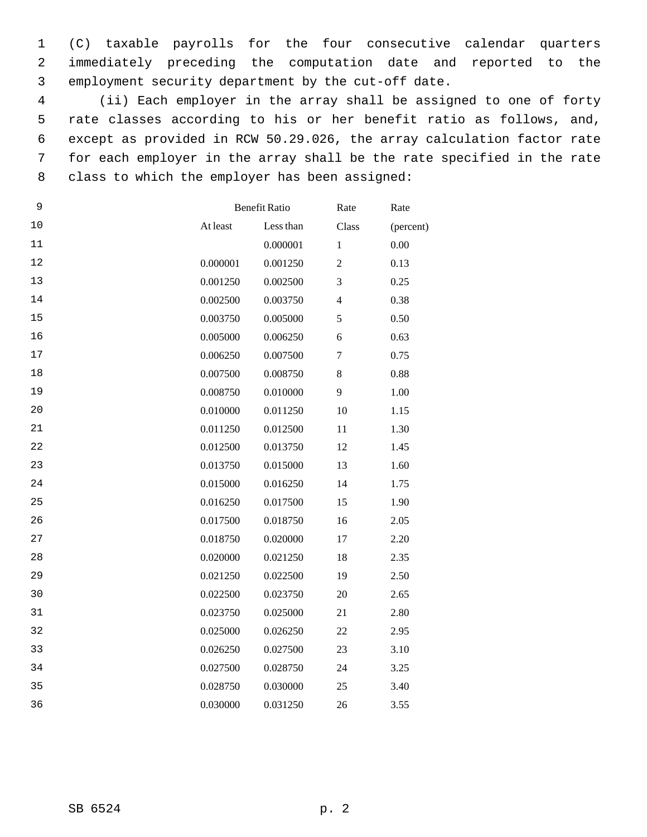1 (C) taxable payrolls for the four consecutive calendar quarters 2 immediately preceding the computation date and reported to the 3 employment security department by the cut-off date.

 4 (ii) Each employer in the array shall be assigned to one of forty 5 rate classes according to his or her benefit ratio as follows, and, 6 except as provided in RCW 50.29.026, the array calculation factor rate 7 for each employer in the array shall be the rate specified in the rate 8 class to which the employer has been assigned:

| 9  |          | <b>Benefit Ratio</b> |                          | Rate      |
|----|----------|----------------------|--------------------------|-----------|
| 10 | At least | Less than            | Class                    | (percent) |
| 11 |          | 0.000001             | $\mathbf{1}$             | 0.00      |
| 12 | 0.000001 | 0.001250             | $\overline{2}$           | 0.13      |
| 13 | 0.001250 | 0.002500             | 3                        | 0.25      |
| 14 | 0.002500 | 0.003750             | $\overline{\mathcal{L}}$ | 0.38      |
| 15 | 0.003750 | 0.005000             | 5                        | 0.50      |
| 16 | 0.005000 | 0.006250             | 6                        | 0.63      |
| 17 | 0.006250 | 0.007500             | $\boldsymbol{7}$         | 0.75      |
| 18 | 0.007500 | 0.008750             | $\,8\,$                  | 0.88      |
| 19 | 0.008750 | 0.010000             | 9                        | 1.00      |
| 20 | 0.010000 | 0.011250             | 10                       | 1.15      |
| 21 | 0.011250 | 0.012500             | 11                       | 1.30      |
| 22 | 0.012500 | 0.013750             | 12                       | 1.45      |
| 23 | 0.013750 | 0.015000             | 13                       | 1.60      |
| 24 | 0.015000 | 0.016250             | 14                       | 1.75      |
| 25 | 0.016250 | 0.017500             | 15                       | 1.90      |
| 26 | 0.017500 | 0.018750             | 16                       | 2.05      |
| 27 | 0.018750 | 0.020000             | 17                       | 2.20      |
| 28 | 0.020000 | 0.021250             | 18                       | 2.35      |
| 29 | 0.021250 | 0.022500             | 19                       | 2.50      |
| 30 | 0.022500 | 0.023750             | 20                       | 2.65      |
| 31 | 0.023750 | 0.025000             | 21                       | 2.80      |
| 32 | 0.025000 | 0.026250             | 22                       | 2.95      |
| 33 | 0.026250 | 0.027500             | 23                       | 3.10      |
| 34 | 0.027500 | 0.028750             | 24                       | 3.25      |
| 35 | 0.028750 | 0.030000             | 25                       | 3.40      |
| 36 | 0.030000 | 0.031250             | 26                       | 3.55      |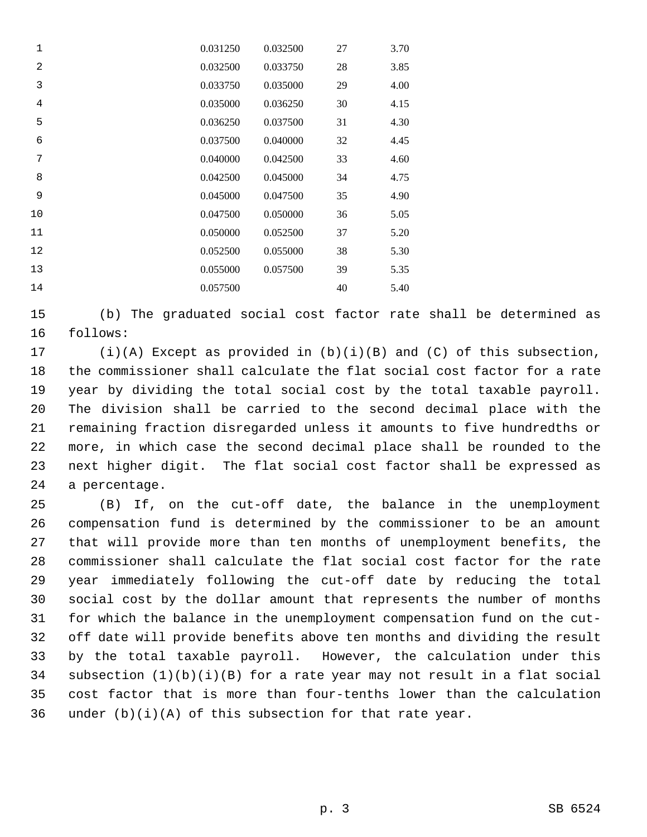| 1              | 0.031250 | 0.032500 | 27 | 3.70 |
|----------------|----------|----------|----|------|
| $\overline{2}$ | 0.032500 | 0.033750 | 28 | 3.85 |
| 3              | 0.033750 | 0.035000 | 29 | 4.00 |
| $\overline{4}$ | 0.035000 | 0.036250 | 30 | 4.15 |
| 5              | 0.036250 | 0.037500 | 31 | 4.30 |
| 6              | 0.037500 | 0.040000 | 32 | 4.45 |
| 7              | 0.040000 | 0.042500 | 33 | 4.60 |
| 8              | 0.042500 | 0.045000 | 34 | 4.75 |
| 9              | 0.045000 | 0.047500 | 35 | 4.90 |
| 10             | 0.047500 | 0.050000 | 36 | 5.05 |
| 11             | 0.050000 | 0.052500 | 37 | 5.20 |
| 12             | 0.052500 | 0.055000 | 38 | 5.30 |
| 13             | 0.055000 | 0.057500 | 39 | 5.35 |
| 14             | 0.057500 |          | 40 | 5.40 |

15 (b) The graduated social cost factor rate shall be determined as 16 follows:

17 (i)(A) Except as provided in (b)(i)(B) and (C) of this subsection, 18 the commissioner shall calculate the flat social cost factor for a rate 19 year by dividing the total social cost by the total taxable payroll. 20 The division shall be carried to the second decimal place with the 21 remaining fraction disregarded unless it amounts to five hundredths or 22 more, in which case the second decimal place shall be rounded to the 23 next higher digit. The flat social cost factor shall be expressed as 24 a percentage.

25 (B) If, on the cut-off date, the balance in the unemployment 26 compensation fund is determined by the commissioner to be an amount 27 that will provide more than ten months of unemployment benefits, the 28 commissioner shall calculate the flat social cost factor for the rate 29 year immediately following the cut-off date by reducing the total 30 social cost by the dollar amount that represents the number of months 31 for which the balance in the unemployment compensation fund on the cut-32 off date will provide benefits above ten months and dividing the result 33 by the total taxable payroll. However, the calculation under this 34 subsection (1)(b)(i)(B) for a rate year may not result in a flat social 35 cost factor that is more than four-tenths lower than the calculation 36 under  $(b)(i)(A)$  of this subsection for that rate year.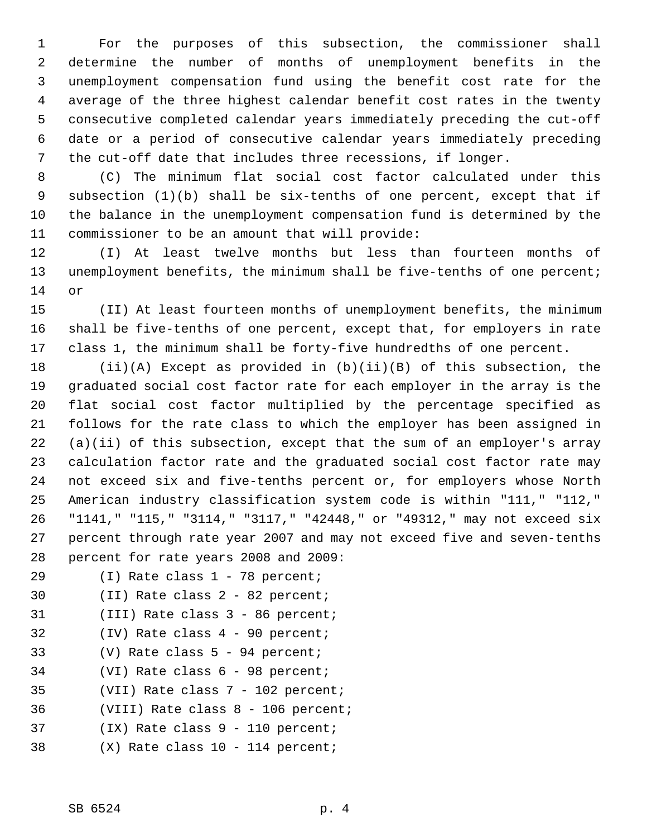1 For the purposes of this subsection, the commissioner shall 2 determine the number of months of unemployment benefits in the 3 unemployment compensation fund using the benefit cost rate for the 4 average of the three highest calendar benefit cost rates in the twenty 5 consecutive completed calendar years immediately preceding the cut-off 6 date or a period of consecutive calendar years immediately preceding 7 the cut-off date that includes three recessions, if longer.

 8 (C) The minimum flat social cost factor calculated under this 9 subsection (1)(b) shall be six-tenths of one percent, except that if 10 the balance in the unemployment compensation fund is determined by the 11 commissioner to be an amount that will provide:

12 (I) At least twelve months but less than fourteen months of 13 unemployment benefits, the minimum shall be five-tenths of one percent; 14 or

15 (II) At least fourteen months of unemployment benefits, the minimum 16 shall be five-tenths of one percent, except that, for employers in rate 17 class 1, the minimum shall be forty-five hundredths of one percent.

18 (ii)(A) Except as provided in (b)(ii)(B) of this subsection, the 19 graduated social cost factor rate for each employer in the array is the 20 flat social cost factor multiplied by the percentage specified as 21 follows for the rate class to which the employer has been assigned in 22 (a)(ii) of this subsection, except that the sum of an employer's array 23 calculation factor rate and the graduated social cost factor rate may 24 not exceed six and five-tenths percent or, for employers whose North 25 American industry classification system code is within "111," "112," 26 "1141," "115," "3114," "3117," "42448," or "49312," may not exceed six 27 percent through rate year 2007 and may not exceed five and seven-tenths 28 percent for rate years 2008 and 2009:

- 29 (I) Rate class 1 78 percent;
- 30 (II) Rate class 2 82 percent;
- 31 (III) Rate class 3 86 percent;
- 32 (IV) Rate class 4 90 percent;
- 33 (V) Rate class 5 94 percent;
- 34 (VI) Rate class 6 98 percent;
- 35 (VII) Rate class 7 102 percent;
- 36 (VIII) Rate class 8 106 percent;
- 37 (IX) Rate class 9 110 percent;
- 38 (X) Rate class 10 114 percent;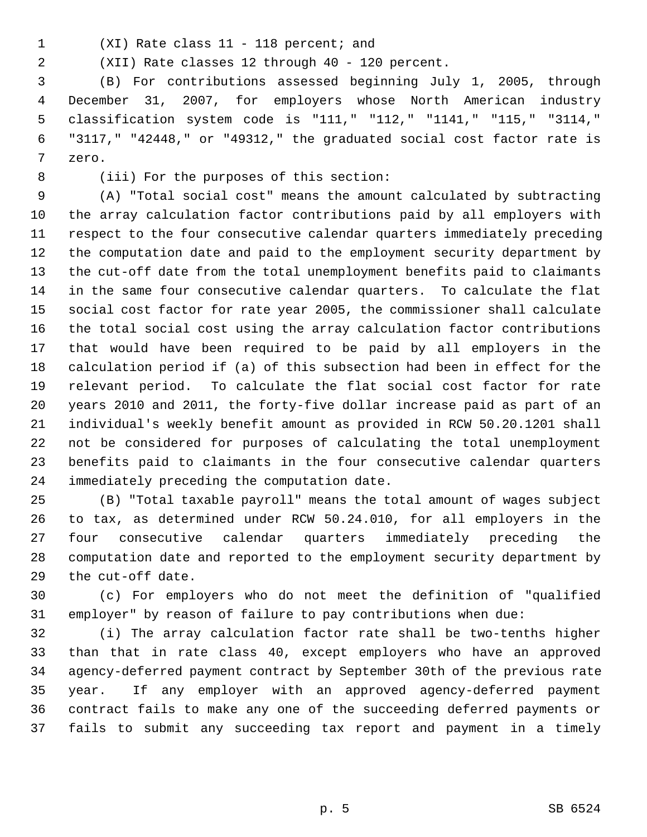- 
- 1 (XI) Rate class 11 118 percent; and

2 (XII) Rate classes 12 through 40 - 120 percent.

 3 (B) For contributions assessed beginning July 1, 2005, through 4 December 31, 2007, for employers whose North American industry 5 classification system code is "111," "112," "1141," "115," "3114," 6 "3117," "42448," or "49312," the graduated social cost factor rate is 7 zero.

8 (iii) For the purposes of this section:

 9 (A) "Total social cost" means the amount calculated by subtracting 10 the array calculation factor contributions paid by all employers with 11 respect to the four consecutive calendar quarters immediately preceding 12 the computation date and paid to the employment security department by 13 the cut-off date from the total unemployment benefits paid to claimants 14 in the same four consecutive calendar quarters. To calculate the flat 15 social cost factor for rate year 2005, the commissioner shall calculate 16 the total social cost using the array calculation factor contributions 17 that would have been required to be paid by all employers in the 18 calculation period if (a) of this subsection had been in effect for the 19 relevant period. To calculate the flat social cost factor for rate 20 years 2010 and 2011, the forty-five dollar increase paid as part of an 21 individual's weekly benefit amount as provided in RCW 50.20.1201 shall 22 not be considered for purposes of calculating the total unemployment 23 benefits paid to claimants in the four consecutive calendar quarters 24 immediately preceding the computation date.

25 (B) "Total taxable payroll" means the total amount of wages subject 26 to tax, as determined under RCW 50.24.010, for all employers in the 27 four consecutive calendar quarters immediately preceding the 28 computation date and reported to the employment security department by 29 the cut-off date.

30 (c) For employers who do not meet the definition of "qualified 31 employer" by reason of failure to pay contributions when due:

32 (i) The array calculation factor rate shall be two-tenths higher 33 than that in rate class 40, except employers who have an approved 34 agency-deferred payment contract by September 30th of the previous rate 35 year. If any employer with an approved agency-deferred payment 36 contract fails to make any one of the succeeding deferred payments or 37 fails to submit any succeeding tax report and payment in a timely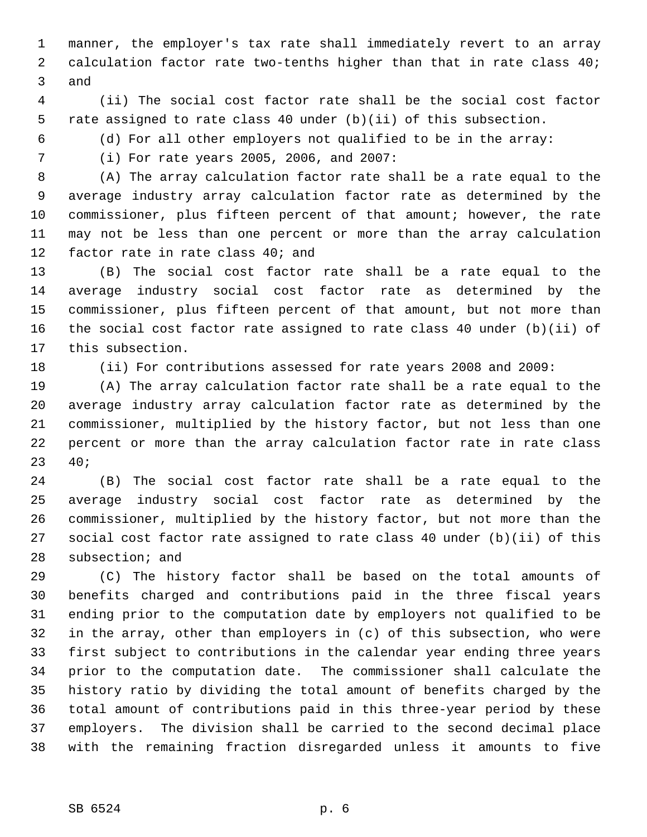1 manner, the employer's tax rate shall immediately revert to an array 2 calculation factor rate two-tenths higher than that in rate class 40; 3 and

 4 (ii) The social cost factor rate shall be the social cost factor 5 rate assigned to rate class 40 under (b)(ii) of this subsection.

6 (d) For all other employers not qualified to be in the array:

7 (i) For rate years 2005, 2006, and 2007:

 8 (A) The array calculation factor rate shall be a rate equal to the 9 average industry array calculation factor rate as determined by the 10 commissioner, plus fifteen percent of that amount; however, the rate 11 may not be less than one percent or more than the array calculation 12 factor rate in rate class 40; and

13 (B) The social cost factor rate shall be a rate equal to the 14 average industry social cost factor rate as determined by the 15 commissioner, plus fifteen percent of that amount, but not more than 16 the social cost factor rate assigned to rate class 40 under (b)(ii) of 17 this subsection.

18 (ii) For contributions assessed for rate years 2008 and 2009:

19 (A) The array calculation factor rate shall be a rate equal to the 20 average industry array calculation factor rate as determined by the 21 commissioner, multiplied by the history factor, but not less than one 22 percent or more than the array calculation factor rate in rate class 23 40;

24 (B) The social cost factor rate shall be a rate equal to the 25 average industry social cost factor rate as determined by the 26 commissioner, multiplied by the history factor, but not more than the 27 social cost factor rate assigned to rate class 40 under (b)(ii) of this 28 subsection; and

29 (C) The history factor shall be based on the total amounts of 30 benefits charged and contributions paid in the three fiscal years 31 ending prior to the computation date by employers not qualified to be 32 in the array, other than employers in (c) of this subsection, who were 33 first subject to contributions in the calendar year ending three years 34 prior to the computation date. The commissioner shall calculate the 35 history ratio by dividing the total amount of benefits charged by the 36 total amount of contributions paid in this three-year period by these 37 employers. The division shall be carried to the second decimal place 38 with the remaining fraction disregarded unless it amounts to five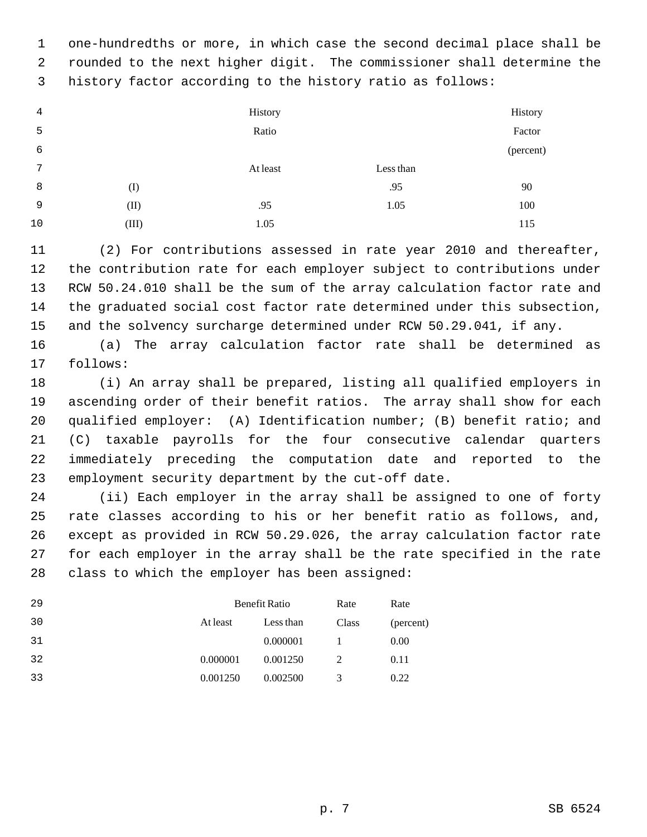1 one-hundredths or more, in which case the second decimal place shall be 2 rounded to the next higher digit. The commissioner shall determine the 3 history factor according to the history ratio as follows:

| 4  |       | History  |           | History   |
|----|-------|----------|-----------|-----------|
| 5  |       | Ratio    |           | Factor    |
| 6  |       |          |           | (percent) |
| 7  |       | At least | Less than |           |
| 8  | (I)   |          | .95       | 90        |
| 9  | (II)  | .95      | 1.05      | 100       |
| 10 | (III) | 1.05     |           | 115       |

11 (2) For contributions assessed in rate year 2010 and thereafter, 12 the contribution rate for each employer subject to contributions under 13 RCW 50.24.010 shall be the sum of the array calculation factor rate and 14 the graduated social cost factor rate determined under this subsection, 15 and the solvency surcharge determined under RCW 50.29.041, if any.

16 (a) The array calculation factor rate shall be determined as 17 follows:

18 (i) An array shall be prepared, listing all qualified employers in 19 ascending order of their benefit ratios. The array shall show for each 20 qualified employer: (A) Identification number; (B) benefit ratio; and 21 (C) taxable payrolls for the four consecutive calendar quarters 22 immediately preceding the computation date and reported to the 23 employment security department by the cut-off date.

24 (ii) Each employer in the array shall be assigned to one of forty 25 rate classes according to his or her benefit ratio as follows, and, 26 except as provided in RCW 50.29.026, the array calculation factor rate 27 for each employer in the array shall be the rate specified in the rate 28 class to which the employer has been assigned:

| 29 | Benefit Ratio |           | Rate  | Rate      |
|----|---------------|-----------|-------|-----------|
| 30 | At least      | Less than | Class | (percent) |
| 31 |               | 0.000001  |       | 0.00      |
| 32 | 0.000001      | 0.001250  | 2     | 0.11      |
| 33 | 0.001250      | 0.002500  | 3     | 0.22      |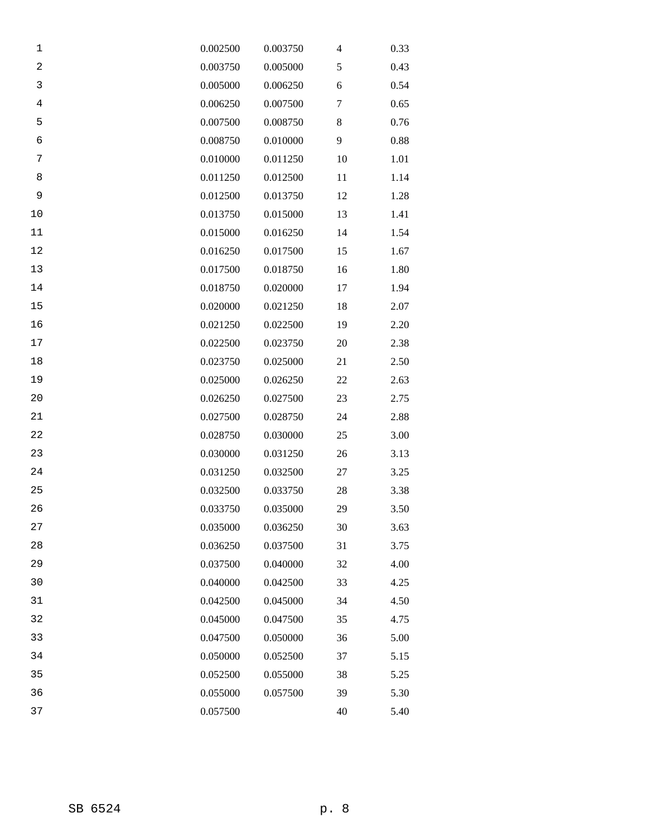| 1              | 0.002500 | 0.003750 | 4  | 0.33 |
|----------------|----------|----------|----|------|
| $\sqrt{2}$     | 0.003750 | 0.005000 | 5  | 0.43 |
| 3              | 0.005000 | 0.006250 | 6  | 0.54 |
| $\overline{4}$ | 0.006250 | 0.007500 | 7  | 0.65 |
| 5              | 0.007500 | 0.008750 | 8  | 0.76 |
| $\epsilon$     | 0.008750 | 0.010000 | 9  | 0.88 |
| 7              | 0.010000 | 0.011250 | 10 | 1.01 |
| 8              | 0.011250 | 0.012500 | 11 | 1.14 |
| 9              | 0.012500 | 0.013750 | 12 | 1.28 |
| 10             | 0.013750 | 0.015000 | 13 | 1.41 |
| 11             | 0.015000 | 0.016250 | 14 | 1.54 |
| 12             | 0.016250 | 0.017500 | 15 | 1.67 |
| 13             | 0.017500 | 0.018750 | 16 | 1.80 |
| 14             | 0.018750 | 0.020000 | 17 | 1.94 |
| 15             | 0.020000 | 0.021250 | 18 | 2.07 |
| 16             | 0.021250 | 0.022500 | 19 | 2.20 |
| 17             | 0.022500 | 0.023750 | 20 | 2.38 |
| $18\,$         | 0.023750 | 0.025000 | 21 | 2.50 |
| 19             | 0.025000 | 0.026250 | 22 | 2.63 |
| 20             | 0.026250 | 0.027500 | 23 | 2.75 |
| 21             | 0.027500 | 0.028750 | 24 | 2.88 |
| 22             | 0.028750 | 0.030000 | 25 | 3.00 |
| 23             | 0.030000 | 0.031250 | 26 | 3.13 |
| 24             | 0.031250 | 0.032500 | 27 | 3.25 |
| 25             | 0.032500 | 0.033750 | 28 | 3.38 |
| 26             | 0.033750 | 0.035000 | 29 | 3.50 |
| 27             | 0.035000 | 0.036250 | 30 | 3.63 |
| 28             | 0.036250 | 0.037500 | 31 | 3.75 |
| 29             | 0.037500 | 0.040000 | 32 | 4.00 |
| 30             | 0.040000 | 0.042500 | 33 | 4.25 |
| 31             | 0.042500 | 0.045000 | 34 | 4.50 |
| 32             | 0.045000 | 0.047500 | 35 | 4.75 |
| 33             | 0.047500 | 0.050000 | 36 | 5.00 |
| 34             | 0.050000 | 0.052500 | 37 | 5.15 |
| 35             | 0.052500 | 0.055000 | 38 | 5.25 |
| 36             | 0.055000 | 0.057500 | 39 | 5.30 |
| 37             | 0.057500 |          | 40 | 5.40 |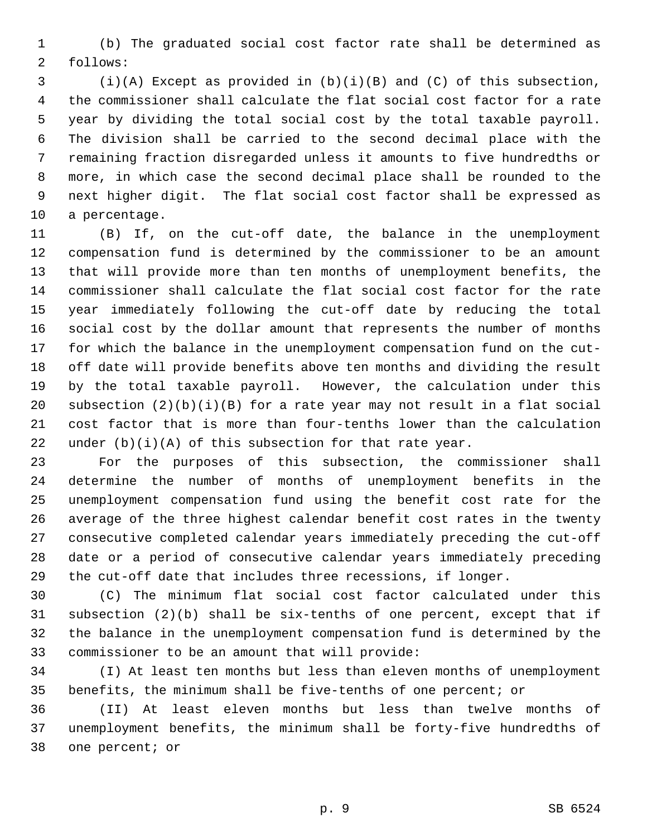1 (b) The graduated social cost factor rate shall be determined as 2 follows:

 3 (i)(A) Except as provided in (b)(i)(B) and (C) of this subsection, 4 the commissioner shall calculate the flat social cost factor for a rate 5 year by dividing the total social cost by the total taxable payroll. 6 The division shall be carried to the second decimal place with the 7 remaining fraction disregarded unless it amounts to five hundredths or 8 more, in which case the second decimal place shall be rounded to the 9 next higher digit. The flat social cost factor shall be expressed as 10 a percentage.

11 (B) If, on the cut-off date, the balance in the unemployment 12 compensation fund is determined by the commissioner to be an amount 13 that will provide more than ten months of unemployment benefits, the 14 commissioner shall calculate the flat social cost factor for the rate 15 year immediately following the cut-off date by reducing the total 16 social cost by the dollar amount that represents the number of months 17 for which the balance in the unemployment compensation fund on the cut-18 off date will provide benefits above ten months and dividing the result 19 by the total taxable payroll. However, the calculation under this 20 subsection  $(2)(b)(i)(B)$  for a rate year may not result in a flat social 21 cost factor that is more than four-tenths lower than the calculation 22 under  $(b)(i)(A)$  of this subsection for that rate year.

23 For the purposes of this subsection, the commissioner shall 24 determine the number of months of unemployment benefits in the 25 unemployment compensation fund using the benefit cost rate for the 26 average of the three highest calendar benefit cost rates in the twenty 27 consecutive completed calendar years immediately preceding the cut-off 28 date or a period of consecutive calendar years immediately preceding 29 the cut-off date that includes three recessions, if longer.

30 (C) The minimum flat social cost factor calculated under this 31 subsection (2)(b) shall be six-tenths of one percent, except that if 32 the balance in the unemployment compensation fund is determined by the 33 commissioner to be an amount that will provide:

34 (I) At least ten months but less than eleven months of unemployment 35 benefits, the minimum shall be five-tenths of one percent; or

36 (II) At least eleven months but less than twelve months of 37 unemployment benefits, the minimum shall be forty-five hundredths of 38 one percent; or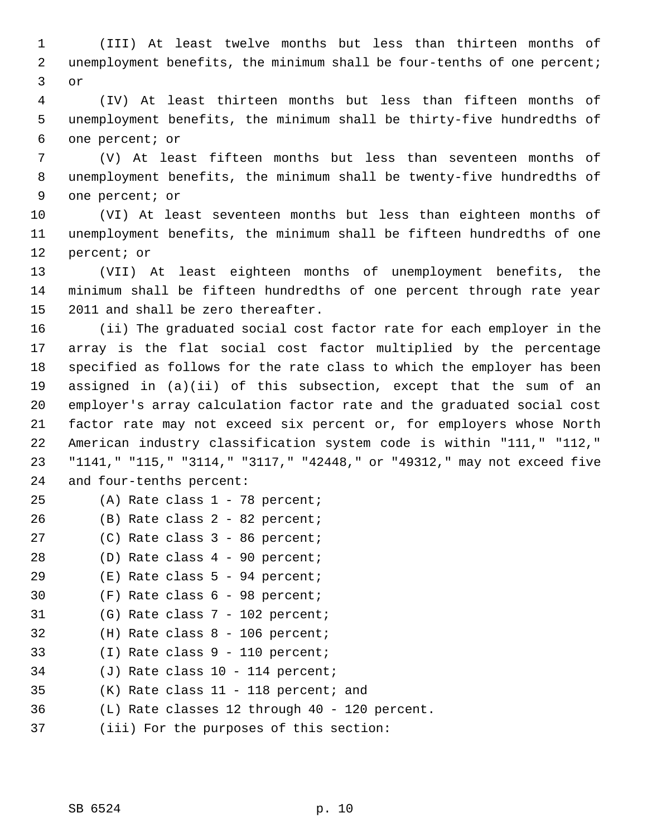1 (III) At least twelve months but less than thirteen months of 2 unemployment benefits, the minimum shall be four-tenths of one percent; 3 or

 4 (IV) At least thirteen months but less than fifteen months of 5 unemployment benefits, the minimum shall be thirty-five hundredths of 6 one percent; or

 7 (V) At least fifteen months but less than seventeen months of 8 unemployment benefits, the minimum shall be twenty-five hundredths of 9 one percent; or

10 (VI) At least seventeen months but less than eighteen months of 11 unemployment benefits, the minimum shall be fifteen hundredths of one 12 percent; or

13 (VII) At least eighteen months of unemployment benefits, the 14 minimum shall be fifteen hundredths of one percent through rate year 15 2011 and shall be zero thereafter.

16 (ii) The graduated social cost factor rate for each employer in the 17 array is the flat social cost factor multiplied by the percentage 18 specified as follows for the rate class to which the employer has been 19 assigned in (a)(ii) of this subsection, except that the sum of an 20 employer's array calculation factor rate and the graduated social cost 21 factor rate may not exceed six percent or, for employers whose North 22 American industry classification system code is within "111," "112," 23 "1141," "115," "3114," "3117," "42448," or "49312," may not exceed five 24 and four-tenths percent:

- 25 (A) Rate class 1 78 percent;
- 26 (B) Rate class 2 82 percent;
- 27 (C) Rate class 3 86 percent;
- 28 (D) Rate class 4 90 percent;
- 29 (E) Rate class 5 94 percent;
- 30 (F) Rate class 6 98 percent;
- 31 (G) Rate class 7 102 percent;
- 32 (H) Rate class 8 106 percent;
- 33 (I) Rate class 9 110 percent;
- 34 (J) Rate class 10 114 percent;
- 35 (K) Rate class 11 118 percent; and
- 36 (L) Rate classes 12 through 40 120 percent.
- 37 (iii) For the purposes of this section: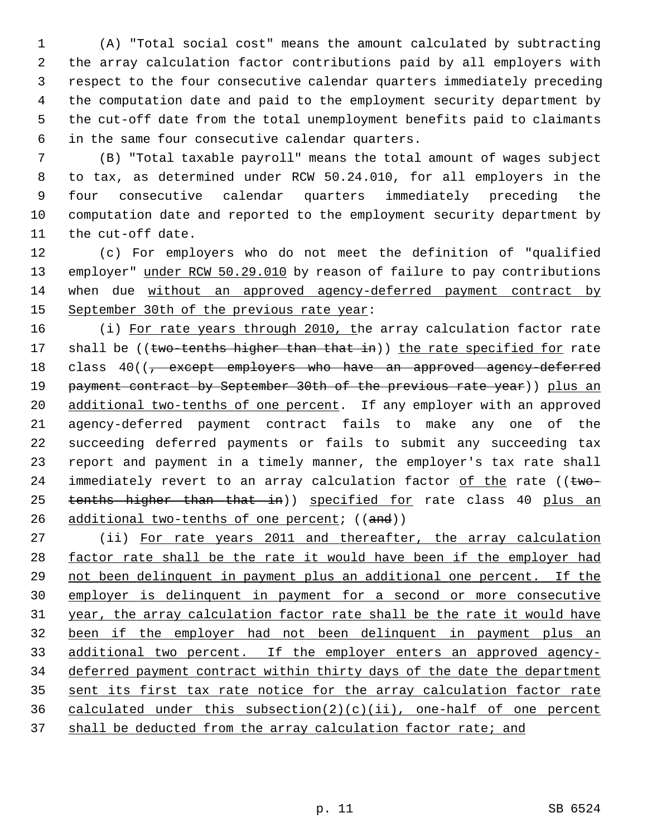1 (A) "Total social cost" means the amount calculated by subtracting 2 the array calculation factor contributions paid by all employers with 3 respect to the four consecutive calendar quarters immediately preceding 4 the computation date and paid to the employment security department by 5 the cut-off date from the total unemployment benefits paid to claimants 6 in the same four consecutive calendar quarters.

 7 (B) "Total taxable payroll" means the total amount of wages subject 8 to tax, as determined under RCW 50.24.010, for all employers in the 9 four consecutive calendar quarters immediately preceding the 10 computation date and reported to the employment security department by 11 the cut-off date.

12 (c) For employers who do not meet the definition of "qualified 13 employer" under RCW 50.29.010 by reason of failure to pay contributions 14 when due without an approved agency-deferred payment contract by 15 September 30th of the previous rate year:

16 (i) For rate years through 2010, the array calculation factor rate 17 shall be ((two-tenths higher than that in)) the rate specified for rate 18 class 40((<del>, except employers who have an approved agency-deferred</del> 19 payment contract by September 30th of the previous rate year)) plus an 20 additional two-tenths of one percent. If any employer with an approved 21 agency-deferred payment contract fails to make any one of the 22 succeeding deferred payments or fails to submit any succeeding tax 23 report and payment in a timely manner, the employer's tax rate shall 24 immediately revert to an array calculation factor of the rate ( $t$ wo-25 tenths higher than that in)) specified for rate class 40 plus an 26 additional two-tenths of one percent;  $((and))$ 

27 (ii) For rate years 2011 and thereafter, the array calculation factor rate shall be the rate it would have been if the employer had not been delinquent in payment plus an additional one percent. If the employer is delinquent in payment for a second or more consecutive year, the array calculation factor rate shall be the rate it would have been if the employer had not been delinquent in payment plus an 33 additional two percent. If the employer enters an approved agency- deferred payment contract within thirty days of the date the department sent its first tax rate notice for the array calculation factor rate 36 calculated under this subsection(2)(c)(ii), one-half of one percent shall be deducted from the array calculation factor rate; and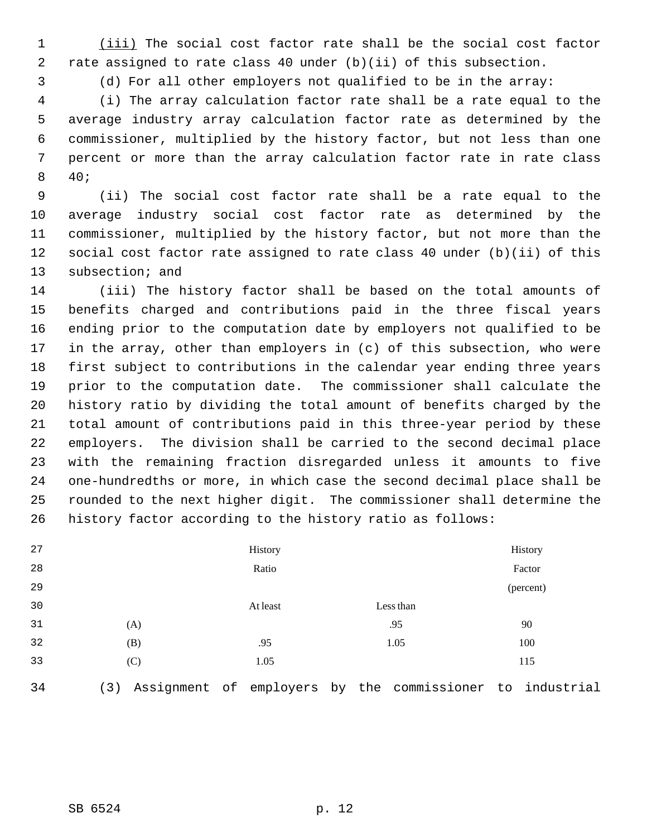1 (iii) The social cost factor rate shall be the social cost factor 2 rate assigned to rate class 40 under (b)(ii) of this subsection.

3 (d) For all other employers not qualified to be in the array:

 4 (i) The array calculation factor rate shall be a rate equal to the 5 average industry array calculation factor rate as determined by the 6 commissioner, multiplied by the history factor, but not less than one 7 percent or more than the array calculation factor rate in rate class 8 40;

 9 (ii) The social cost factor rate shall be a rate equal to the 10 average industry social cost factor rate as determined by the 11 commissioner, multiplied by the history factor, but not more than the 12 social cost factor rate assigned to rate class 40 under (b)(ii) of this 13 subsection; and

14 (iii) The history factor shall be based on the total amounts of 15 benefits charged and contributions paid in the three fiscal years 16 ending prior to the computation date by employers not qualified to be 17 in the array, other than employers in (c) of this subsection, who were 18 first subject to contributions in the calendar year ending three years 19 prior to the computation date. The commissioner shall calculate the 20 history ratio by dividing the total amount of benefits charged by the 21 total amount of contributions paid in this three-year period by these 22 employers. The division shall be carried to the second decimal place 23 with the remaining fraction disregarded unless it amounts to five 24 one-hundredths or more, in which case the second decimal place shall be 25 rounded to the next higher digit. The commissioner shall determine the 26 history factor according to the history ratio as follows:

| 27 |     | History  |           | History   |
|----|-----|----------|-----------|-----------|
| 28 |     | Ratio    |           | Factor    |
| 29 |     |          |           | (percent) |
| 30 |     | At least | Less than |           |
| 31 | (A) |          | .95       | 90        |
| 32 | (B) | .95      | 1.05      | 100       |
| 33 | (C) | 1.05     |           | 115       |
|    |     |          |           |           |

34 (3) Assignment of employers by the commissioner to industrial